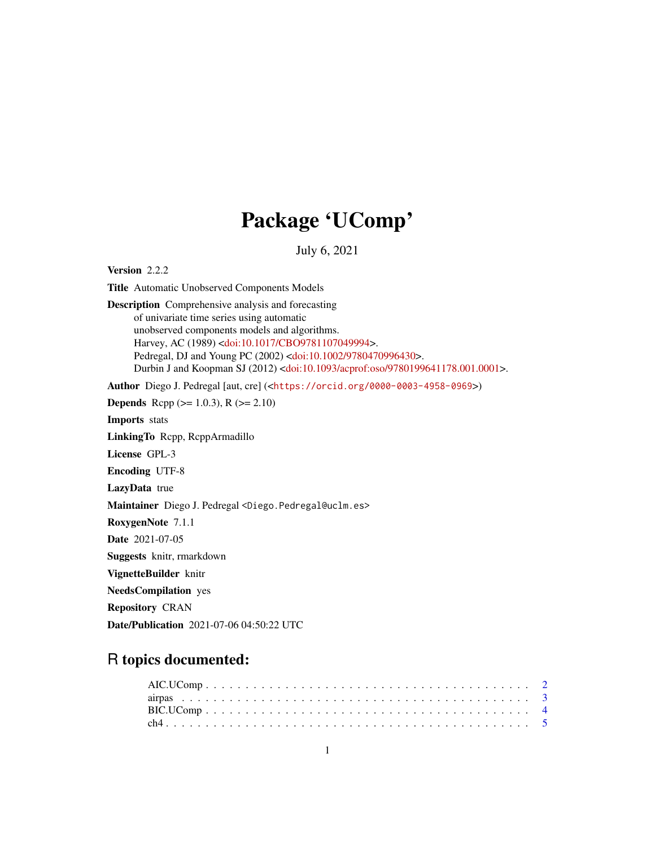# Package 'UComp'

July 6, 2021

Version 2.2.2

Title Automatic Unobserved Components Models Description Comprehensive analysis and forecasting of univariate time series using automatic unobserved components models and algorithms. Harvey, AC (1989) [<doi:10.1017/CBO9781107049994>](https://doi.org/10.1017/CBO9781107049994). Pedregal, DJ and Young PC (2002) [<doi:10.1002/9780470996430>](https://doi.org/10.1002/9780470996430). Durbin J and Koopman SJ (2012) [<doi:10.1093/acprof:oso/9780199641178.001.0001>](https://doi.org/10.1093/acprof:oso/9780199641178.001.0001).

Author Diego J. Pedregal [aut, cre] (<<https://orcid.org/0000-0003-4958-0969>>)

**Depends** Rcpp ( $>= 1.0.3$ ), R ( $>= 2.10$ ) Imports stats

LinkingTo Rcpp, RcppArmadillo

License GPL-3

Encoding UTF-8

LazyData true

Maintainer Diego J. Pedregal <Diego.Pedregal@uclm.es>

RoxygenNote 7.1.1

Date 2021-07-05

Suggests knitr, rmarkdown

VignetteBuilder knitr

NeedsCompilation yes

Repository CRAN

Date/Publication 2021-07-06 04:50:22 UTC

# R topics documented: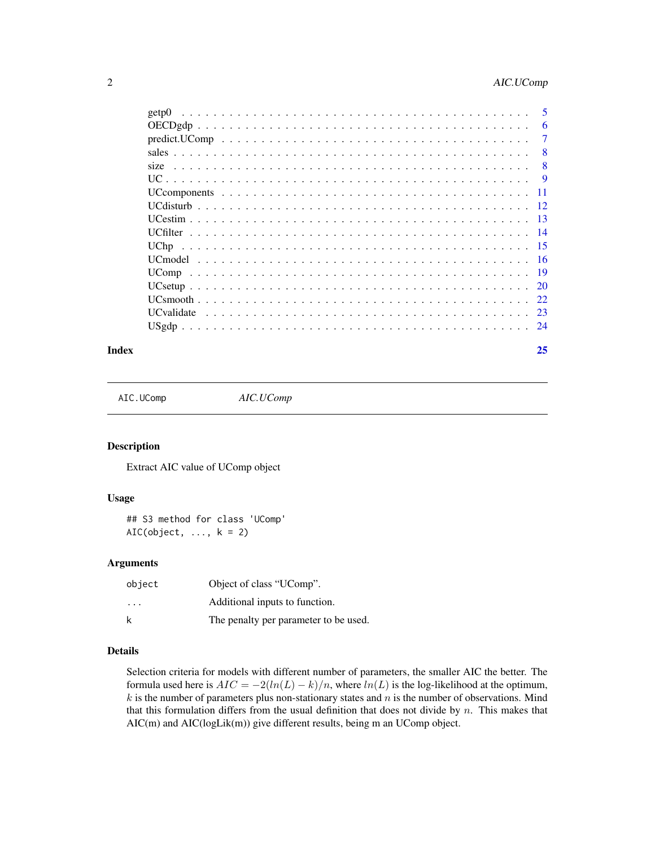<span id="page-1-0"></span>

| get <sub>p</sub> ()                                                                                       | 5    |
|-----------------------------------------------------------------------------------------------------------|------|
|                                                                                                           | 6    |
| $predict.UComp \dots \dots \dots \dots \dots \dots \dots \dots \dots \dots \dots \dots \dots \dots \dots$ | 7    |
|                                                                                                           | 8    |
| size                                                                                                      | 8    |
|                                                                                                           | 9    |
|                                                                                                           |      |
|                                                                                                           |      |
|                                                                                                           |      |
|                                                                                                           | - 14 |
|                                                                                                           | -15  |
|                                                                                                           | -16  |
|                                                                                                           | - 19 |
|                                                                                                           | 20   |
|                                                                                                           |      |
|                                                                                                           |      |
|                                                                                                           |      |
|                                                                                                           |      |

#### **Index** [25](#page-24-0)

AIC.UComp *AIC.UComp*

# Description

Extract AIC value of UComp object

#### Usage

## S3 method for class 'UComp'  $AIC(object, ..., k = 2)$ 

# Arguments

| object                  | Object of class "UComp".              |
|-------------------------|---------------------------------------|
| $\cdot$ $\cdot$ $\cdot$ | Additional inputs to function.        |
| k                       | The penalty per parameter to be used. |

# Details

Selection criteria for models with different number of parameters, the smaller AIC the better. The formula used here is  $AIC = -2(ln(L) - k)/n$ , where  $ln(L)$  is the log-likelihood at the optimum,  $k$  is the number of parameters plus non-stationary states and  $n$  is the number of observations. Mind that this formulation differs from the usual definition that does not divide by  $n$ . This makes that AIC(m) and AIC(logLik(m)) give different results, being m an UComp object.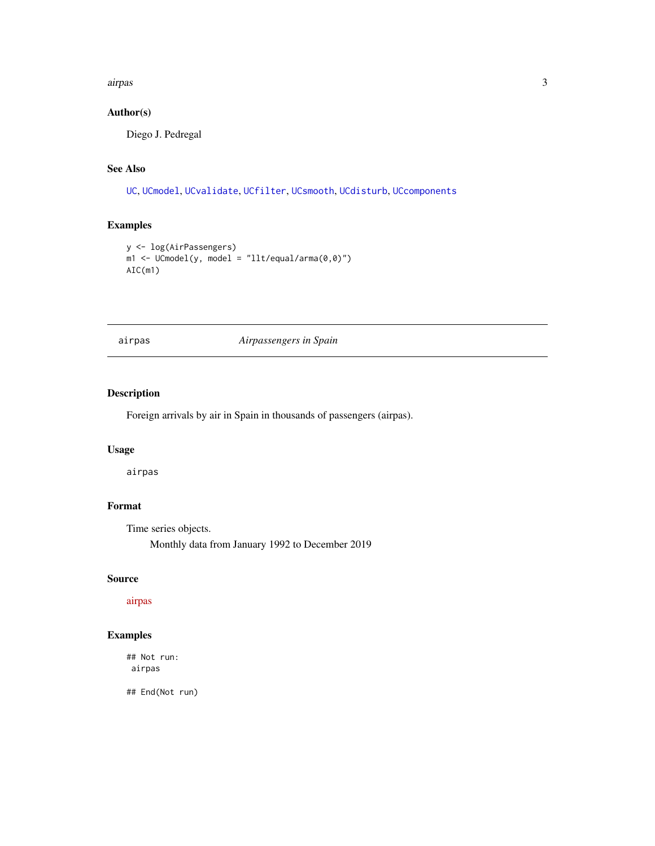#### <span id="page-2-0"></span>airpas 3

# Author(s)

Diego J. Pedregal

# See Also

[UC](#page-8-1), [UCmodel](#page-15-1), [UCvalidate](#page-22-1), [UCfilter](#page-13-1), [UCsmooth](#page-21-1), [UCdisturb](#page-11-1), [UCcomponents](#page-10-1)

# Examples

```
y <- log(AirPassengers)
m1 <- UCmodel(y, model = "llt/equal/arma(0,0)")
AIC(m1)
```
airpas *Airpassengers in Spain*

# Description

Foreign arrivals by air in Spain in thousands of passengers (airpas).

#### Usage

airpas

# Format

Time series objects.

Monthly data from January 1992 to December 2019

# Source

[airpas](https://www.ine.es)

# Examples

## Not run: airpas

## End(Not run)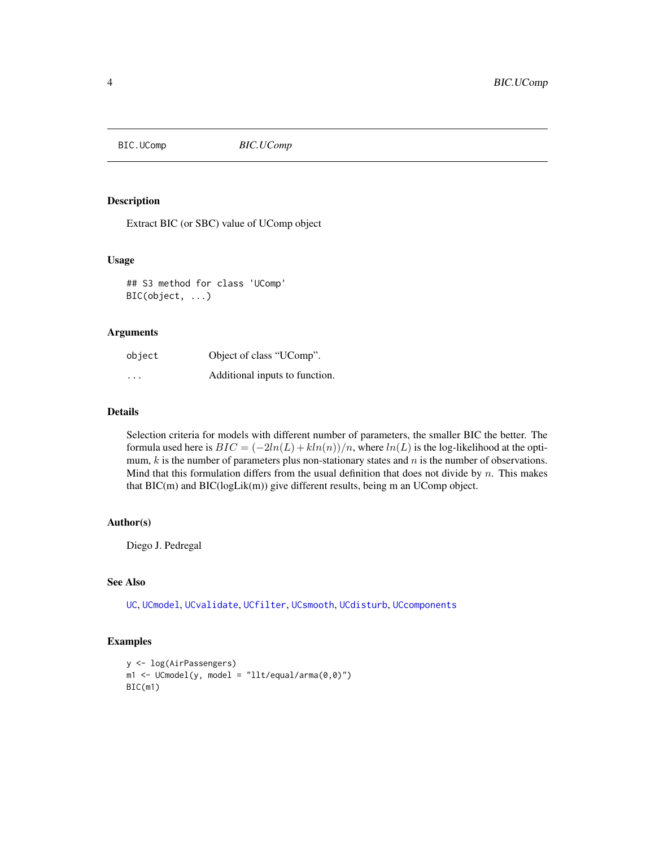#### <span id="page-3-0"></span>BIC.UComp *BIC.UComp*

#### Description

Extract BIC (or SBC) value of UComp object

#### Usage

## S3 method for class 'UComp' BIC(object, ...)

#### Arguments

| object                  | Object of class "UComp".       |
|-------------------------|--------------------------------|
| $\cdot$ $\cdot$ $\cdot$ | Additional inputs to function. |

### Details

Selection criteria for models with different number of parameters, the smaller BIC the better. The formula used here is  $BIC = (-2ln(L) + kln(n))/n$ , where  $ln(L)$  is the log-likelihood at the optimum,  $k$  is the number of parameters plus non-stationary states and  $n$  is the number of observations. Mind that this formulation differs from the usual definition that does not divide by  $n$ . This makes that BIC(m) and BIC(logLik(m)) give different results, being m an UComp object.

# Author(s)

Diego J. Pedregal

# See Also

[UC](#page-8-1), [UCmodel](#page-15-1), [UCvalidate](#page-22-1), [UCfilter](#page-13-1), [UCsmooth](#page-21-1), [UCdisturb](#page-11-1), [UCcomponents](#page-10-1)

# Examples

```
y <- log(AirPassengers)
m1 <- UCmodel(y, model = "llt/equal/arma(0,0)")
BIC(m1)
```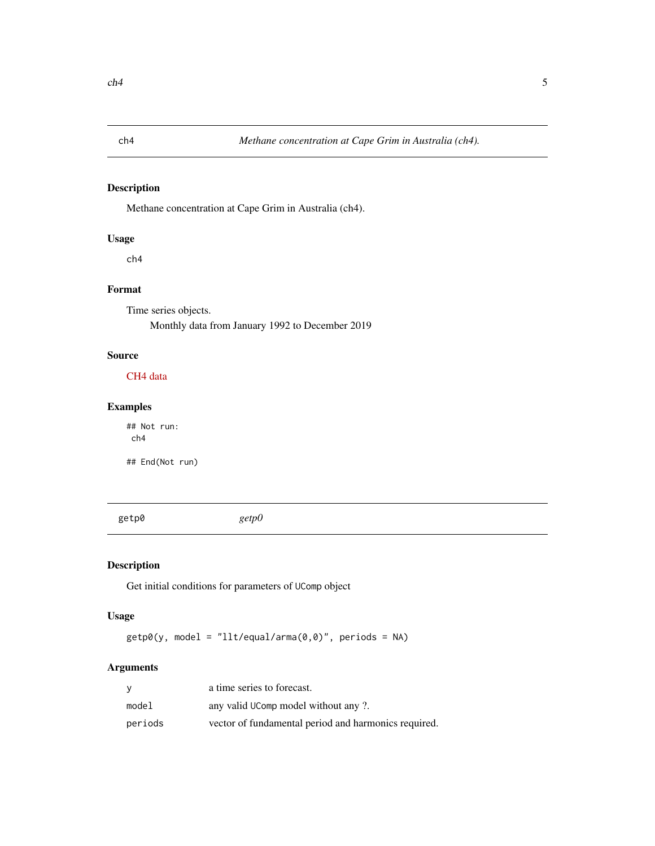<span id="page-4-0"></span>

# Description

Methane concentration at Cape Grim in Australia (ch4).

# Usage

ch4

# Format

Time series objects.

Monthly data from January 1992 to December 2019

# Source

[CH4 data](https://www.csiro.au/en/Research/OandA/Areas/Assessing-our-climate/Latest-greenhouse-gas-data)

# Examples

## Not run: ch4

## End(Not run)

getp0 *getp0*

# Description

Get initial conditions for parameters of UComp object

# Usage

 $getp0(y, model = "llt/equal/arma(0, 0)"$ , periods = NA)

# Arguments

| <b>V</b> | a time series to forecast.                           |
|----------|------------------------------------------------------|
| model    | any valid UComp model without any ?.                 |
| periods  | vector of fundamental period and harmonics required. |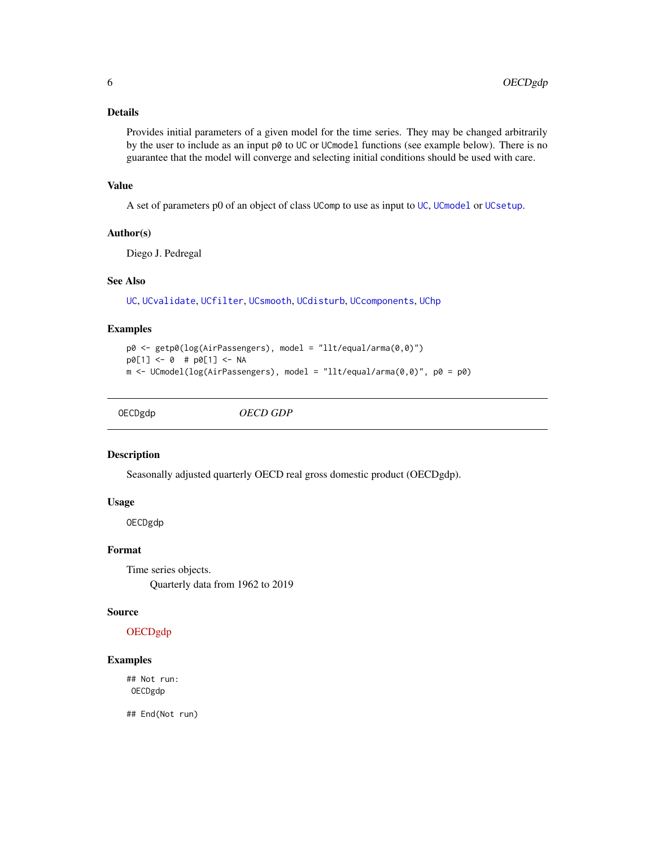### <span id="page-5-0"></span>Details

Provides initial parameters of a given model for the time series. They may be changed arbitrarily by the user to include as an input p0 to UC or UCmodel functions (see example below). There is no guarantee that the model will converge and selecting initial conditions should be used with care.

#### Value

A set of parameters p0 of an object of class UComp to use as input to [UC](#page-8-1), [UCmodel](#page-15-1) or [UCsetup](#page-19-1).

#### Author(s)

Diego J. Pedregal

#### See Also

[UC](#page-8-1), [UCvalidate](#page-22-1), [UCfilter](#page-13-1), [UCsmooth](#page-21-1), [UCdisturb](#page-11-1), [UCcomponents](#page-10-1), [UChp](#page-14-1)

# Examples

```
p0 <- getp0(log(AirPassengers), model = "llt/equal/arma(0,0)")
p0[1] <- 0 # p0[1] <- NA
m <- UCmodel(log(AirPassengers), model = "llt/equal/arma(0,0)", p0 = p0)
```
OECDgdp *OECD GDP*

#### Description

Seasonally adjusted quarterly OECD real gross domestic product (OECDgdp).

#### Usage

OECDgdp

#### Format

Time series objects. Quarterly data from 1962 to 2019

#### Source

# [OECDgdp](http://serviciosede.mineco.gob.es/indeco/)

# Examples

## Not run: OECDgdp

## End(Not run)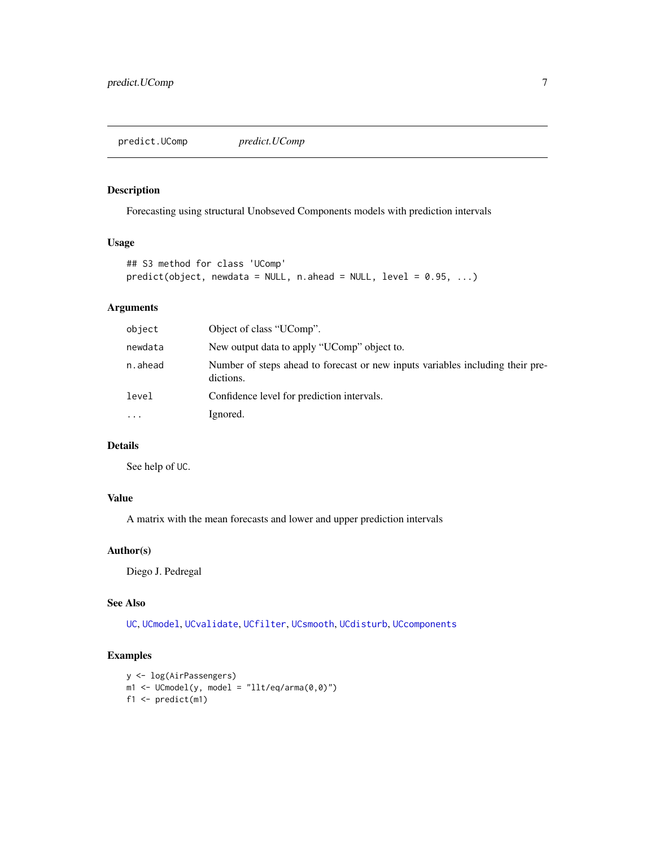<span id="page-6-0"></span>predict.UComp *predict.UComp*

#### Description

Forecasting using structural Unobseved Components models with prediction intervals

# Usage

```
## S3 method for class 'UComp'
predict(object, newdata = NULL, n. ahead = NULL, level = 0.95, ...)
```
# Arguments

| object   | Object of class "UComp".                                                                    |
|----------|---------------------------------------------------------------------------------------------|
| newdata  | New output data to apply "UComp" object to.                                                 |
| n.ahead  | Number of steps ahead to forecast or new inputs variables including their pre-<br>dictions. |
| level    | Confidence level for prediction intervals.                                                  |
| $\cdots$ | Ignored.                                                                                    |

# Details

See help of UC.

# Value

A matrix with the mean forecasts and lower and upper prediction intervals

### Author(s)

Diego J. Pedregal

#### See Also

[UC](#page-8-1), [UCmodel](#page-15-1), [UCvalidate](#page-22-1), [UCfilter](#page-13-1), [UCsmooth](#page-21-1), [UCdisturb](#page-11-1), [UCcomponents](#page-10-1)

# Examples

```
y <- log(AirPassengers)
m1 <- UComodel(y, model = "llt/eq/arma(0,0)")f1 \le predict(m1)
```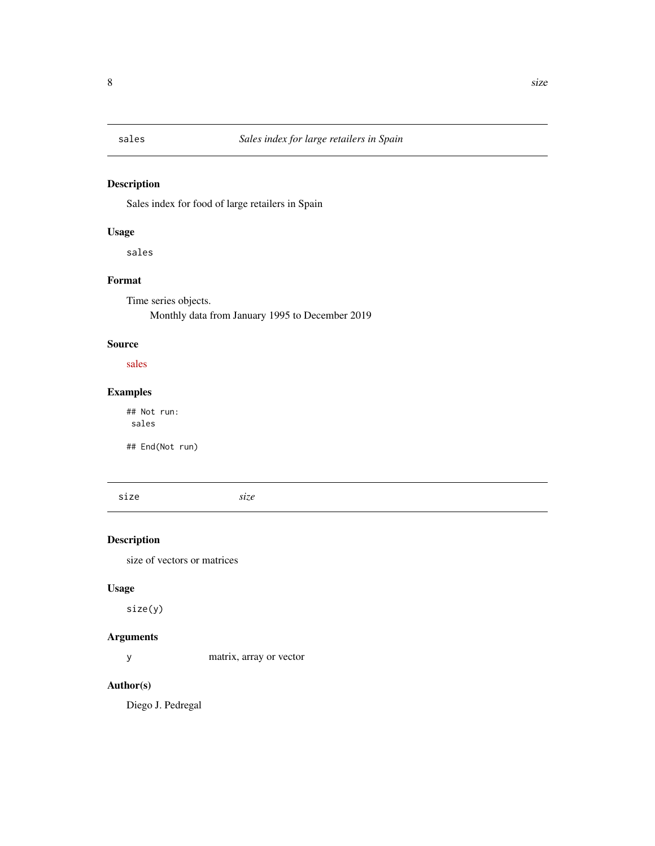# <span id="page-7-0"></span>Description

Sales index for food of large retailers in Spain

# Usage

sales

# Format

Time series objects. Monthly data from January 1995 to December 2019

# Source

[sales](http://serviciosede.mineco.gob.es/indeco/)

# Examples

## Not run: sales

## End(Not run)

size *size*

# Description

size of vectors or matrices

# Usage

size(y)

# Arguments

y matrix, array or vector

# Author(s)

Diego J. Pedregal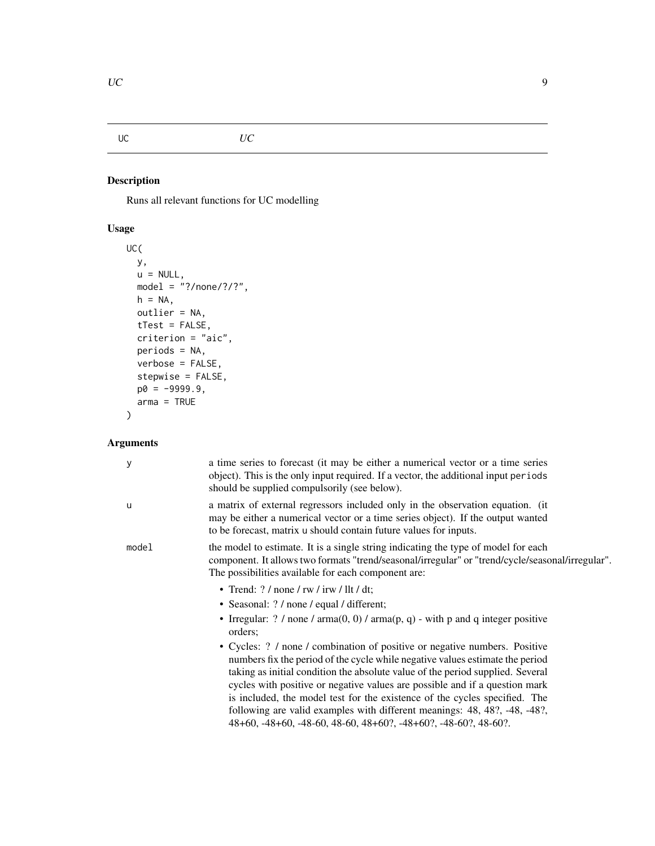# <span id="page-8-1"></span><span id="page-8-0"></span>UC *UC*

# Description

Runs all relevant functions for UC modelling

# Usage

```
UC(
  y,
  u = NULL,model = \sqrt{?}/\text{none}/??",
  h = NA,
  outlier = NA,
  tTest = FALSE,
  criterion = "aic",
  periods = NA,
  verbose = FALSE,
  stepwise = FALSE,
  p0 = -9999.9,
  arma = TRUE
)
```
# Arguments

| у     | a time series to forecast (it may be either a numerical vector or a time series<br>object). This is the only input required. If a vector, the additional input periods<br>should be supplied compulsorily (see below).                                                                                                                                                                                                                                                                                                                                     |
|-------|------------------------------------------------------------------------------------------------------------------------------------------------------------------------------------------------------------------------------------------------------------------------------------------------------------------------------------------------------------------------------------------------------------------------------------------------------------------------------------------------------------------------------------------------------------|
| u     | a matrix of external regressors included only in the observation equation. (it<br>may be either a numerical vector or a time series object). If the output wanted<br>to be forecast, matrix u should contain future values for inputs.                                                                                                                                                                                                                                                                                                                     |
| model | the model to estimate. It is a single string indicating the type of model for each<br>component. It allows two formats "trend/seasonal/irregular" or "trend/cycle/seasonal/irregular".<br>The possibilities available for each component are:                                                                                                                                                                                                                                                                                                              |
|       | • Trend: $? /$ none / rw / irw / llt / dt;                                                                                                                                                                                                                                                                                                                                                                                                                                                                                                                 |
|       | • Seasonal: ? / none / equal / different;                                                                                                                                                                                                                                                                                                                                                                                                                                                                                                                  |
|       | • Irregular: $? /$ none $/$ arma $(0, 0) /$ arma $(p, q)$ - with p and q integer positive<br>orders;                                                                                                                                                                                                                                                                                                                                                                                                                                                       |
|       | • Cycles: ? / none / combination of positive or negative numbers. Positive<br>numbers fix the period of the cycle while negative values estimate the period<br>taking as initial condition the absolute value of the period supplied. Several<br>cycles with positive or negative values are possible and if a question mark<br>is included, the model test for the existence of the cycles specified. The<br>following are valid examples with different meanings: 48, 48?, -48, -48?,<br>48+60, -48+60, -48-60, 48-60, 48+60?, -48+60?, -48-60?, 48-60?. |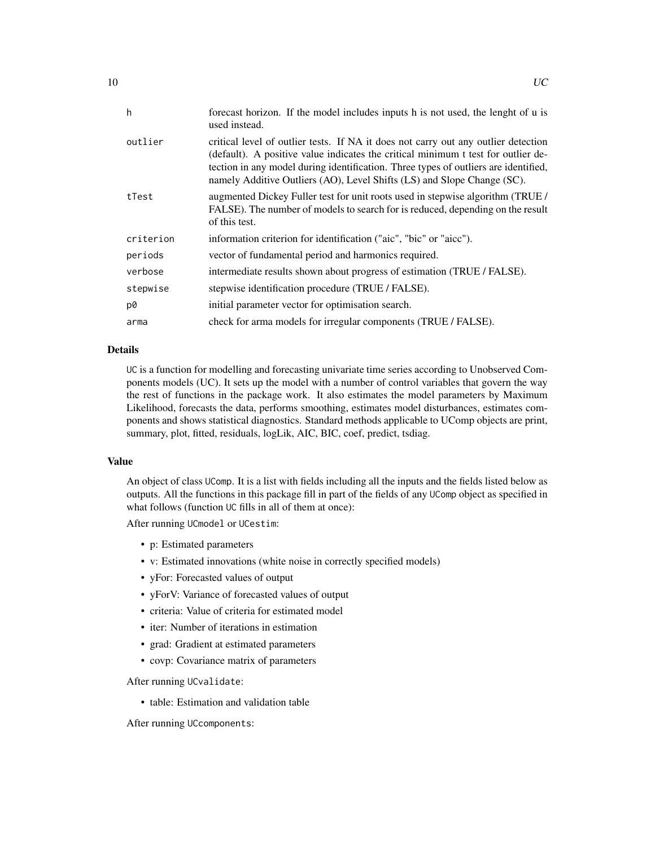| h         | forecast horizon. If the model includes inputs h is not used, the lenght of u is<br>used instead.                                                                                                                                                                                                                                         |
|-----------|-------------------------------------------------------------------------------------------------------------------------------------------------------------------------------------------------------------------------------------------------------------------------------------------------------------------------------------------|
| outlier   | critical level of outlier tests. If NA it does not carry out any outlier detection<br>(default). A positive value indicates the critical minimum t test for outlier de-<br>tection in any model during identification. Three types of outliers are identified,<br>namely Additive Outliers (AO), Level Shifts (LS) and Slope Change (SC). |
| tTest     | augmented Dickey Fuller test for unit roots used in stepwise algorithm (TRUE)<br>FALSE). The number of models to search for is reduced, depending on the result<br>of this test.                                                                                                                                                          |
| criterion | information criterion for identification ("aic", "bic" or "aicc").                                                                                                                                                                                                                                                                        |
| periods   | vector of fundamental period and harmonics required.                                                                                                                                                                                                                                                                                      |
| verbose   | intermediate results shown about progress of estimation (TRUE / FALSE).                                                                                                                                                                                                                                                                   |
| stepwise  | stepwise identification procedure (TRUE / FALSE).                                                                                                                                                                                                                                                                                         |
| p0        | initial parameter vector for optimisation search.                                                                                                                                                                                                                                                                                         |
| arma      | check for arma models for irregular components (TRUE / FALSE).                                                                                                                                                                                                                                                                            |

#### Details

UC is a function for modelling and forecasting univariate time series according to Unobserved Components models (UC). It sets up the model with a number of control variables that govern the way the rest of functions in the package work. It also estimates the model parameters by Maximum Likelihood, forecasts the data, performs smoothing, estimates model disturbances, estimates components and shows statistical diagnostics. Standard methods applicable to UComp objects are print, summary, plot, fitted, residuals, logLik, AIC, BIC, coef, predict, tsdiag.

# Value

An object of class UComp. It is a list with fields including all the inputs and the fields listed below as outputs. All the functions in this package fill in part of the fields of any UComp object as specified in what follows (function UC fills in all of them at once):

After running UCmodel or UCestim:

- p: Estimated parameters
- v: Estimated innovations (white noise in correctly specified models)
- yFor: Forecasted values of output
- yForV: Variance of forecasted values of output
- criteria: Value of criteria for estimated model
- iter: Number of iterations in estimation
- grad: Gradient at estimated parameters
- covp: Covariance matrix of parameters

After running UCvalidate:

• table: Estimation and validation table

After running UCcomponents: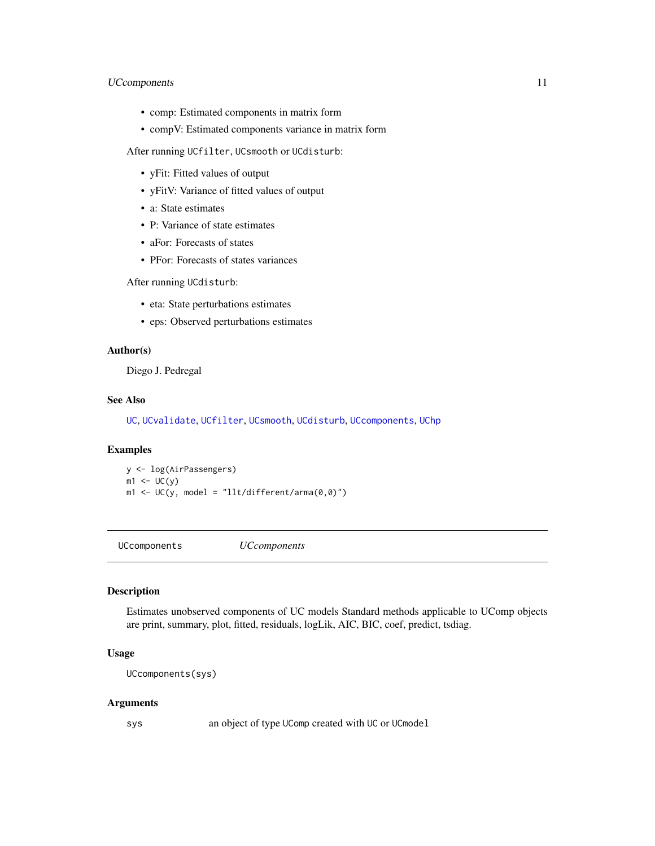# <span id="page-10-0"></span>UCcomponents 11

- comp: Estimated components in matrix form
- compV: Estimated components variance in matrix form

After running UCfilter, UCsmooth or UCdisturb:

- yFit: Fitted values of output
- yFitV: Variance of fitted values of output
- a: State estimates
- P: Variance of state estimates
- aFor: Forecasts of states
- PFor: Forecasts of states variances

After running UCdisturb:

- eta: State perturbations estimates
- eps: Observed perturbations estimates

# Author(s)

Diego J. Pedregal

#### See Also

[UC](#page-8-1), [UCvalidate](#page-22-1), [UCfilter](#page-13-1), [UCsmooth](#page-21-1), [UCdisturb](#page-11-1), [UCcomponents](#page-10-1), [UChp](#page-14-1)

#### Examples

y <- log(AirPassengers)  $m1 < -UC(y)$  $m1 \leftarrow UC(y, model = "llt/different/arma(0, 0)")$ 

<span id="page-10-1"></span>UCcomponents *UCcomponents*

#### Description

Estimates unobserved components of UC models Standard methods applicable to UComp objects are print, summary, plot, fitted, residuals, logLik, AIC, BIC, coef, predict, tsdiag.

#### Usage

```
UCcomponents(sys)
```
#### Arguments

sys an object of type UComp created with UC or UCmodel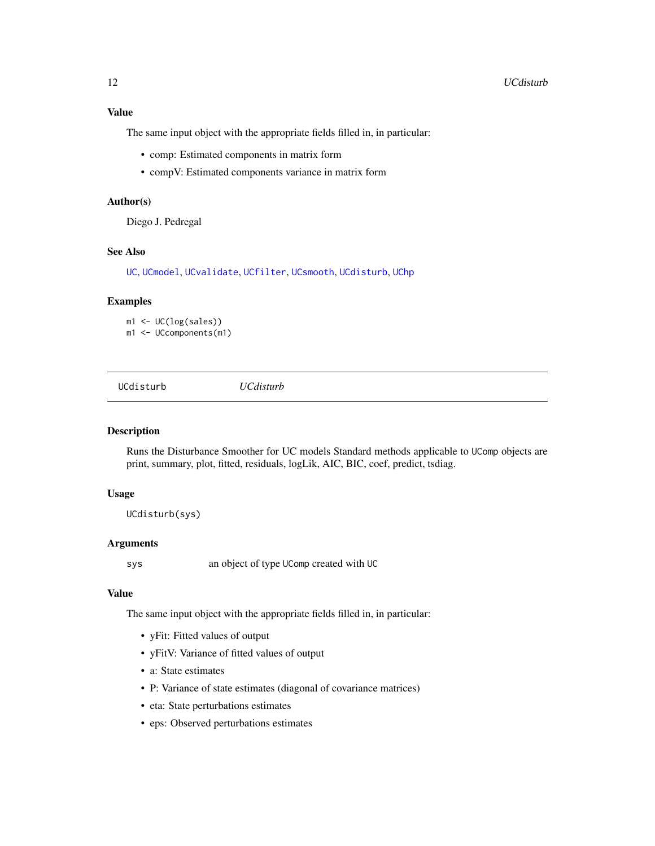### <span id="page-11-0"></span>Value

The same input object with the appropriate fields filled in, in particular:

- comp: Estimated components in matrix form
- compV: Estimated components variance in matrix form

# Author(s)

Diego J. Pedregal

#### See Also

[UC](#page-8-1), [UCmodel](#page-15-1), [UCvalidate](#page-22-1), [UCfilter](#page-13-1), [UCsmooth](#page-21-1), [UCdisturb](#page-11-1), [UChp](#page-14-1)

#### Examples

m1 <- UC(log(sales)) m1 <- UCcomponents(m1)

<span id="page-11-1"></span>UCdisturb *UCdisturb*

#### Description

Runs the Disturbance Smoother for UC models Standard methods applicable to UComp objects are print, summary, plot, fitted, residuals, logLik, AIC, BIC, coef, predict, tsdiag.

#### Usage

UCdisturb(sys)

#### Arguments

sys an object of type UComp created with UC

# Value

The same input object with the appropriate fields filled in, in particular:

- yFit: Fitted values of output
- yFitV: Variance of fitted values of output
- a: State estimates
- P: Variance of state estimates (diagonal of covariance matrices)
- eta: State perturbations estimates
- eps: Observed perturbations estimates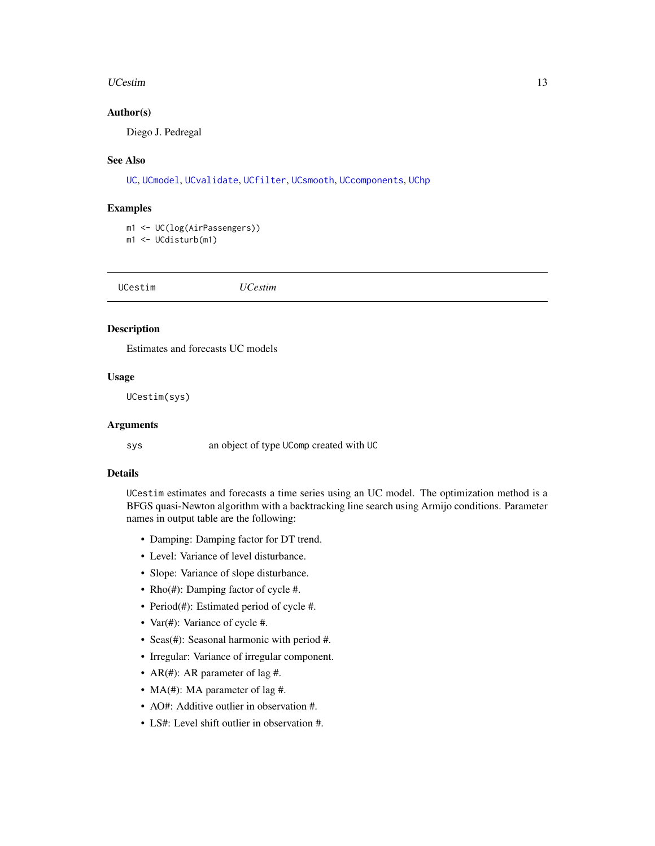#### <span id="page-12-0"></span>UCestim and the state of the state of the state of the state of the state of the state of the state of the state of the state of the state of the state of the state of the state of the state of the state of the state of th

#### Author(s)

Diego J. Pedregal

#### See Also

[UC](#page-8-1), [UCmodel](#page-15-1), [UCvalidate](#page-22-1), [UCfilter](#page-13-1), [UCsmooth](#page-21-1), [UCcomponents](#page-10-1), [UChp](#page-14-1)

#### Examples

m1 <- UC(log(AirPassengers)) m1 <- UCdisturb(m1)

UCestim *UCestim*

# Description

Estimates and forecasts UC models

#### Usage

UCestim(sys)

#### Arguments

sys an object of type UComp created with UC

#### Details

UCestim estimates and forecasts a time series using an UC model. The optimization method is a BFGS quasi-Newton algorithm with a backtracking line search using Armijo conditions. Parameter names in output table are the following:

- Damping: Damping factor for DT trend.
- Level: Variance of level disturbance.
- Slope: Variance of slope disturbance.
- Rho(#): Damping factor of cycle #.
- Period(#): Estimated period of cycle #.
- Var(#): Variance of cycle #.
- Seas(#): Seasonal harmonic with period #.
- Irregular: Variance of irregular component.
- AR(#): AR parameter of lag #.
- MA(#): MA parameter of lag #.
- AO#: Additive outlier in observation #.
- LS#: Level shift outlier in observation #.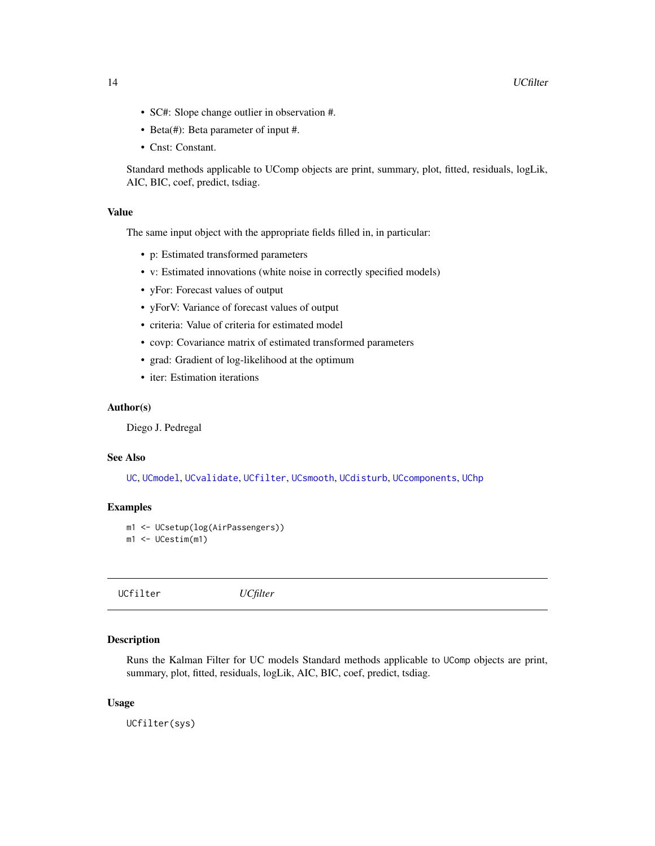- <span id="page-13-0"></span>• SC#: Slope change outlier in observation #.
- Beta(#): Beta parameter of input #.
- Cnst: Constant.

Standard methods applicable to UComp objects are print, summary, plot, fitted, residuals, logLik, AIC, BIC, coef, predict, tsdiag.

#### Value

The same input object with the appropriate fields filled in, in particular:

- p: Estimated transformed parameters
- v: Estimated innovations (white noise in correctly specified models)
- yFor: Forecast values of output
- yForV: Variance of forecast values of output
- criteria: Value of criteria for estimated model
- covp: Covariance matrix of estimated transformed parameters
- grad: Gradient of log-likelihood at the optimum
- iter: Estimation iterations

#### Author(s)

Diego J. Pedregal

#### See Also

[UC](#page-8-1), [UCmodel](#page-15-1), [UCvalidate](#page-22-1), [UCfilter](#page-13-1), [UCsmooth](#page-21-1), [UCdisturb](#page-11-1), [UCcomponents](#page-10-1), [UChp](#page-14-1)

#### Examples

```
m1 <- UCsetup(log(AirPassengers))
m1 <- UCestim(m1)
```
<span id="page-13-1"></span>UCfilter *UCfilter*

#### Description

Runs the Kalman Filter for UC models Standard methods applicable to UComp objects are print, summary, plot, fitted, residuals, logLik, AIC, BIC, coef, predict, tsdiag.

#### Usage

UCfilter(sys)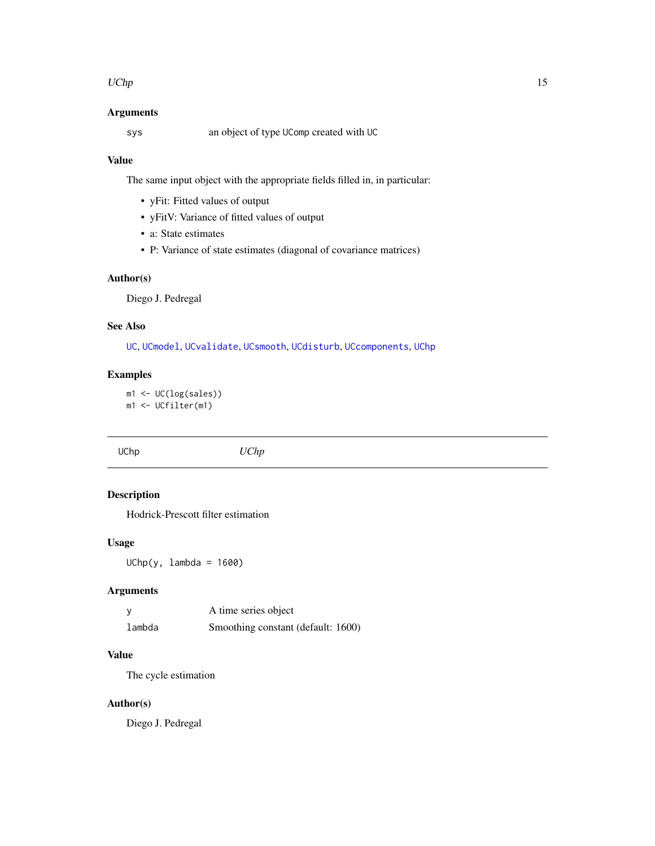#### <span id="page-14-0"></span>UChp  $15$

# Arguments

sys an object of type UComp created with UC

# Value

The same input object with the appropriate fields filled in, in particular:

- yFit: Fitted values of output
- yFitV: Variance of fitted values of output
- a: State estimates
- P: Variance of state estimates (diagonal of covariance matrices)

# Author(s)

Diego J. Pedregal

# See Also

[UC](#page-8-1), [UCmodel](#page-15-1), [UCvalidate](#page-22-1), [UCsmooth](#page-21-1), [UCdisturb](#page-11-1), [UCcomponents](#page-10-1), [UChp](#page-14-1)

#### Examples

m1 <- UC(log(sales)) m1 <- UCfilter(m1)

<span id="page-14-1"></span>UChp *UChp*

# Description

Hodrick-Prescott filter estimation

# Usage

UChp(y, lambda = 1600)

# Arguments

|        | A time series object               |
|--------|------------------------------------|
| lambda | Smoothing constant (default: 1600) |

# Value

The cycle estimation

# Author(s)

Diego J. Pedregal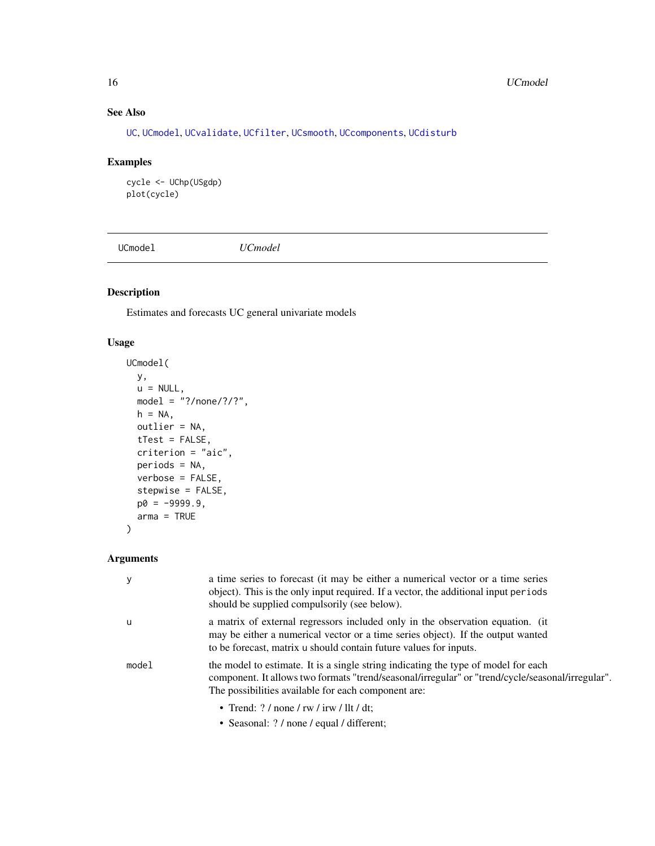# See Also

[UC](#page-8-1), [UCmodel](#page-15-1), [UCvalidate](#page-22-1), [UCfilter](#page-13-1), [UCsmooth](#page-21-1), [UCcomponents](#page-10-1), [UCdisturb](#page-11-1)

# Examples

```
cycle <- UChp(USgdp)
plot(cycle)
```
<span id="page-15-1"></span>UCmodel *UCmodel*

# Description

Estimates and forecasts UC general univariate models

#### Usage

```
UCmodel(
  y,
 u = NULL,model = "?/none/?/?",
 h = NA,
 outlier = NA,
  tTest = FALSE,
 criterion = "aic",
 periods = NA,
 verbose = FALSE,
  stepwise = FALSE,
 p0 = -9999.9,
 arma = TRUE
\mathcal{L}
```
# Arguments

| У     | a time series to forecast (it may be either a numerical vector or a time series<br>object). This is the only input required. If a vector, the additional input periods<br>should be supplied compulsorily (see below).                        |
|-------|-----------------------------------------------------------------------------------------------------------------------------------------------------------------------------------------------------------------------------------------------|
| u     | a matrix of external regressors included only in the observation equation. (it<br>may be either a numerical vector or a time series object). If the output wanted<br>to be forecast, matrix u should contain future values for inputs.        |
| model | the model to estimate. It is a single string indicating the type of model for each<br>component. It allows two formats "trend/seasonal/irregular" or "trend/cycle/seasonal/irregular".<br>The possibilities available for each component are: |
|       | • Trend: $? /$ none / rw / irw / llt / dt;                                                                                                                                                                                                    |

• Seasonal: ? / none / equal / different;

<span id="page-15-0"></span>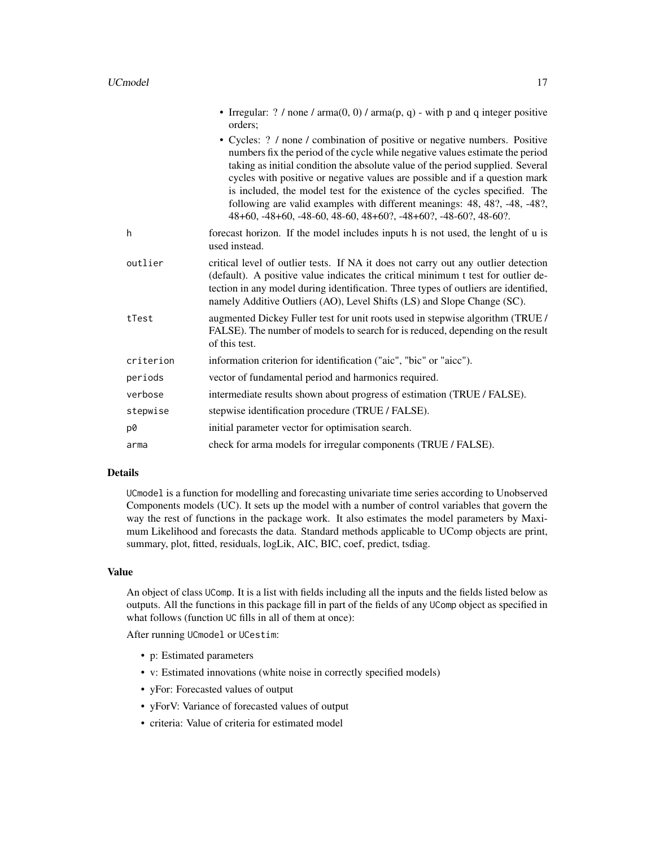|           | • Irregular: ? / none / arma $(0, 0)$ / arma $(p, q)$ - with p and q integer positive<br>orders;                                                                                                                                                                                                                                                                                                                                                                                                                                                           |
|-----------|------------------------------------------------------------------------------------------------------------------------------------------------------------------------------------------------------------------------------------------------------------------------------------------------------------------------------------------------------------------------------------------------------------------------------------------------------------------------------------------------------------------------------------------------------------|
|           | • Cycles: ? / none / combination of positive or negative numbers. Positive<br>numbers fix the period of the cycle while negative values estimate the period<br>taking as initial condition the absolute value of the period supplied. Several<br>cycles with positive or negative values are possible and if a question mark<br>is included, the model test for the existence of the cycles specified. The<br>following are valid examples with different meanings: 48, 48?, -48, -48?,<br>48+60, -48+60, -48-60, 48-60, 48+60?, -48+60?, -48-60?, 48-60?. |
| h         | forecast horizon. If the model includes inputs h is not used, the lenght of u is<br>used instead.                                                                                                                                                                                                                                                                                                                                                                                                                                                          |
| outlier   | critical level of outlier tests. If NA it does not carry out any outlier detection<br>(default). A positive value indicates the critical minimum t test for outlier de-<br>tection in any model during identification. Three types of outliers are identified,<br>namely Additive Outliers (AO), Level Shifts (LS) and Slope Change (SC).                                                                                                                                                                                                                  |
| tTest     | augmented Dickey Fuller test for unit roots used in stepwise algorithm (TRUE /<br>FALSE). The number of models to search for is reduced, depending on the result<br>of this test.                                                                                                                                                                                                                                                                                                                                                                          |
| criterion | information criterion for identification ("aic", "bic" or "aicc").                                                                                                                                                                                                                                                                                                                                                                                                                                                                                         |
| periods   | vector of fundamental period and harmonics required.                                                                                                                                                                                                                                                                                                                                                                                                                                                                                                       |
| verbose   | intermediate results shown about progress of estimation (TRUE / FALSE).                                                                                                                                                                                                                                                                                                                                                                                                                                                                                    |
| stepwise  | stepwise identification procedure (TRUE / FALSE).                                                                                                                                                                                                                                                                                                                                                                                                                                                                                                          |
| p0        | initial parameter vector for optimisation search.                                                                                                                                                                                                                                                                                                                                                                                                                                                                                                          |
| arma      | check for arma models for irregular components (TRUE / FALSE).                                                                                                                                                                                                                                                                                                                                                                                                                                                                                             |

#### Details

UCmodel is a function for modelling and forecasting univariate time series according to Unobserved Components models (UC). It sets up the model with a number of control variables that govern the way the rest of functions in the package work. It also estimates the model parameters by Maximum Likelihood and forecasts the data. Standard methods applicable to UComp objects are print, summary, plot, fitted, residuals, logLik, AIC, BIC, coef, predict, tsdiag.

#### Value

An object of class UComp. It is a list with fields including all the inputs and the fields listed below as outputs. All the functions in this package fill in part of the fields of any UComp object as specified in what follows (function UC fills in all of them at once):

After running UCmodel or UCestim:

- p: Estimated parameters
- v: Estimated innovations (white noise in correctly specified models)
- yFor: Forecasted values of output
- yForV: Variance of forecasted values of output
- criteria: Value of criteria for estimated model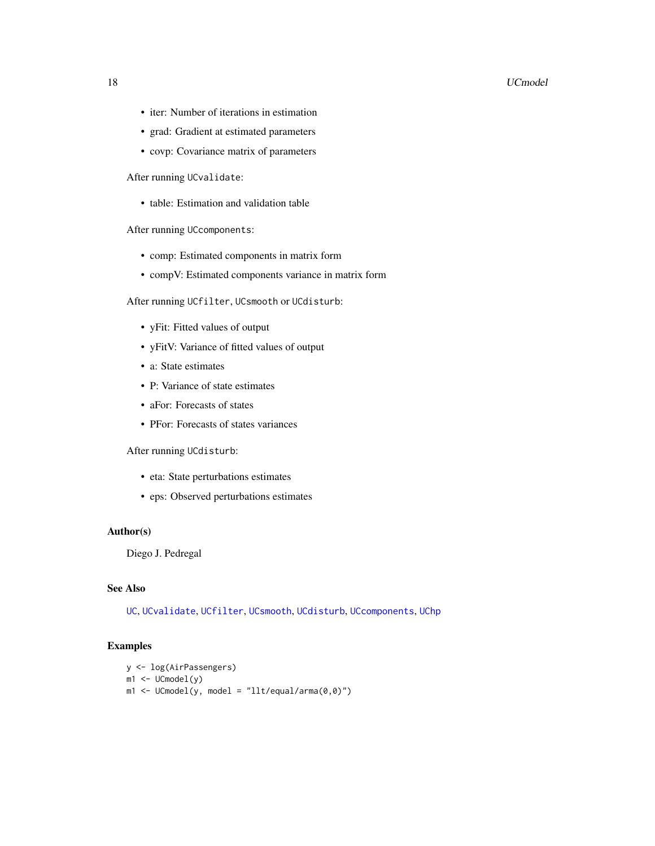#### <span id="page-17-0"></span>18 UCmodel

- iter: Number of iterations in estimation
- grad: Gradient at estimated parameters
- covp: Covariance matrix of parameters

After running UCvalidate:

• table: Estimation and validation table

After running UCcomponents:

- comp: Estimated components in matrix form
- compV: Estimated components variance in matrix form

After running UCfilter, UCsmooth or UCdisturb:

- yFit: Fitted values of output
- yFitV: Variance of fitted values of output
- a: State estimates
- P: Variance of state estimates
- aFor: Forecasts of states
- PFor: Forecasts of states variances

#### After running UCdisturb:

- eta: State perturbations estimates
- eps: Observed perturbations estimates

#### Author(s)

Diego J. Pedregal

# See Also

[UC](#page-8-1), [UCvalidate](#page-22-1), [UCfilter](#page-13-1), [UCsmooth](#page-21-1), [UCdisturb](#page-11-1), [UCcomponents](#page-10-1), [UChp](#page-14-1)

# Examples

```
y <- log(AirPassengers)
m1 < - UCmodel(y)
m1 \leq W \leq W UCmodel(y, model = "llt/equal/arma(0,0)")
```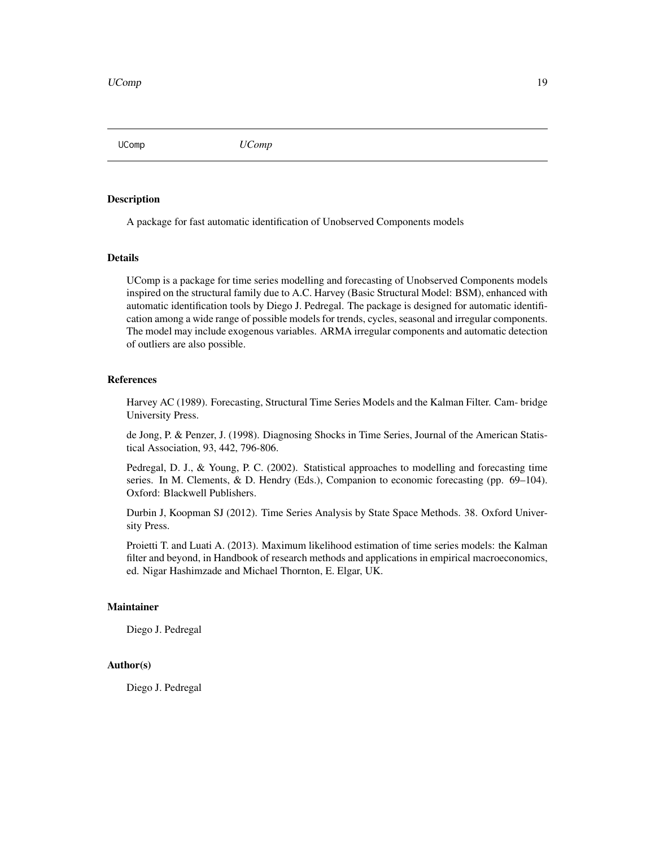<span id="page-18-0"></span>UComp *UComp*

# **Description**

A package for fast automatic identification of Unobserved Components models

#### Details

UComp is a package for time series modelling and forecasting of Unobserved Components models inspired on the structural family due to A.C. Harvey (Basic Structural Model: BSM), enhanced with automatic identification tools by Diego J. Pedregal. The package is designed for automatic identification among a wide range of possible models for trends, cycles, seasonal and irregular components. The model may include exogenous variables. ARMA irregular components and automatic detection of outliers are also possible.

#### References

Harvey AC (1989). Forecasting, Structural Time Series Models and the Kalman Filter. Cam- bridge University Press.

de Jong, P. & Penzer, J. (1998). Diagnosing Shocks in Time Series, Journal of the American Statistical Association, 93, 442, 796-806.

Pedregal, D. J., & Young, P. C. (2002). Statistical approaches to modelling and forecasting time series. In M. Clements, & D. Hendry (Eds.), Companion to economic forecasting (pp. 69–104). Oxford: Blackwell Publishers.

Durbin J, Koopman SJ (2012). Time Series Analysis by State Space Methods. 38. Oxford University Press.

Proietti T. and Luati A. (2013). Maximum likelihood estimation of time series models: the Kalman filter and beyond, in Handbook of research methods and applications in empirical macroeconomics, ed. Nigar Hashimzade and Michael Thornton, E. Elgar, UK.

#### Maintainer

Diego J. Pedregal

#### Author(s)

Diego J. Pedregal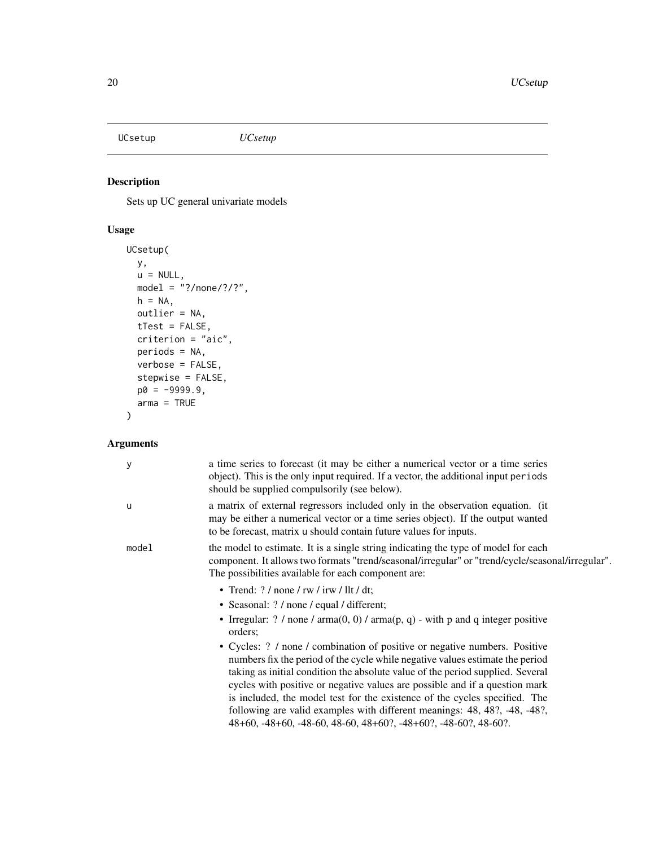<span id="page-19-1"></span><span id="page-19-0"></span>UCsetup *UCsetup*

# Description

Sets up UC general univariate models

# Usage

```
UCsetup(
 y,
 u = NULL,model = "?/none/?/?",
 h = NA,
 outlier = NA,
 tTest = FALSE,
 criterion = "aic",
 periods = NA,
 verbose = FALSE,
 stepwise = FALSE,
 p0 = -9999.9,
 arma = TRUE
)
```
# Arguments

| у     | a time series to forecast (it may be either a numerical vector or a time series<br>object). This is the only input required. If a vector, the additional input periods<br>should be supplied compulsorily (see below).                                                                                                                                                                                                                                                       |
|-------|------------------------------------------------------------------------------------------------------------------------------------------------------------------------------------------------------------------------------------------------------------------------------------------------------------------------------------------------------------------------------------------------------------------------------------------------------------------------------|
| u     | a matrix of external regressors included only in the observation equation. (it<br>may be either a numerical vector or a time series object). If the output wanted<br>to be forecast, matrix u should contain future values for inputs.                                                                                                                                                                                                                                       |
| model | the model to estimate. It is a single string indicating the type of model for each<br>component. It allows two formats "trend/seasonal/irregular" or "trend/cycle/seasonal/irregular".<br>The possibilities available for each component are:                                                                                                                                                                                                                                |
|       | • Trend: $? /$ none / rw / irw / llt / dt;<br>• Seasonal: ? / none / equal / different;<br>• Irregular: $?$ / none / arma $(0, 0)$ / arma $(p, q)$ - with p and q integer positive<br>orders:<br>• Cycles: ? / none / combination of positive or negative numbers. Positive                                                                                                                                                                                                  |
|       | numbers fix the period of the cycle while negative values estimate the period<br>taking as initial condition the absolute value of the period supplied. Several<br>cycles with positive or negative values are possible and if a question mark<br>is included, the model test for the existence of the cycles specified. The<br>following are valid examples with different meanings: 48, 48?, -48, -48?,<br>48+60, -48+60, -48-60, 48-60, 48+60?, -48+60?, -48-60?, 48-60?. |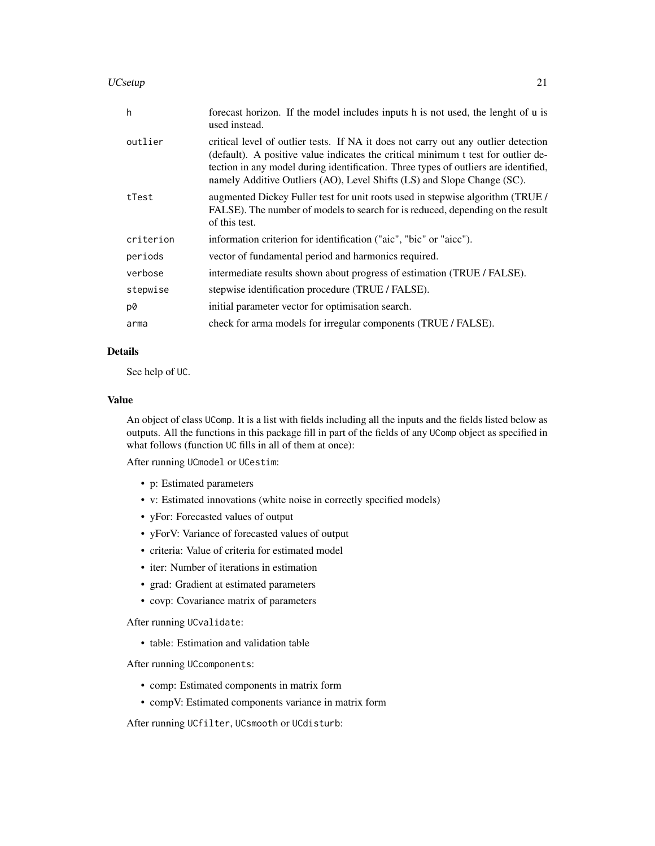#### UCsetup 21

| h         | forecast horizon. If the model includes inputs h is not used, the lenght of u is<br>used instead.                                                                                                                                                                                                                                         |
|-----------|-------------------------------------------------------------------------------------------------------------------------------------------------------------------------------------------------------------------------------------------------------------------------------------------------------------------------------------------|
| outlier   | critical level of outlier tests. If NA it does not carry out any outlier detection<br>(default). A positive value indicates the critical minimum t test for outlier de-<br>tection in any model during identification. Three types of outliers are identified,<br>namely Additive Outliers (AO), Level Shifts (LS) and Slope Change (SC). |
| tTest     | augmented Dickey Fuller test for unit roots used in stepwise algorithm (TRUE)<br>FALSE). The number of models to search for is reduced, depending on the result<br>of this test.                                                                                                                                                          |
| criterion | information criterion for identification ("aic", "bic" or "aicc").                                                                                                                                                                                                                                                                        |
| periods   | vector of fundamental period and harmonics required.                                                                                                                                                                                                                                                                                      |
| verbose   | intermediate results shown about progress of estimation (TRUE / FALSE).                                                                                                                                                                                                                                                                   |
| stepwise  | stepwise identification procedure (TRUE / FALSE).                                                                                                                                                                                                                                                                                         |
| p0        | initial parameter vector for optimisation search.                                                                                                                                                                                                                                                                                         |
| arma      | check for arma models for irregular components (TRUE / FALSE).                                                                                                                                                                                                                                                                            |

# Details

See help of UC.

#### Value

An object of class UComp. It is a list with fields including all the inputs and the fields listed below as outputs. All the functions in this package fill in part of the fields of any UComp object as specified in what follows (function UC fills in all of them at once):

After running UCmodel or UCestim:

- p: Estimated parameters
- v: Estimated innovations (white noise in correctly specified models)
- yFor: Forecasted values of output
- yForV: Variance of forecasted values of output
- criteria: Value of criteria for estimated model
- iter: Number of iterations in estimation
- grad: Gradient at estimated parameters
- covp: Covariance matrix of parameters

After running UCvalidate:

• table: Estimation and validation table

After running UCcomponents:

- comp: Estimated components in matrix form
- compV: Estimated components variance in matrix form

After running UCfilter, UCsmooth or UCdisturb: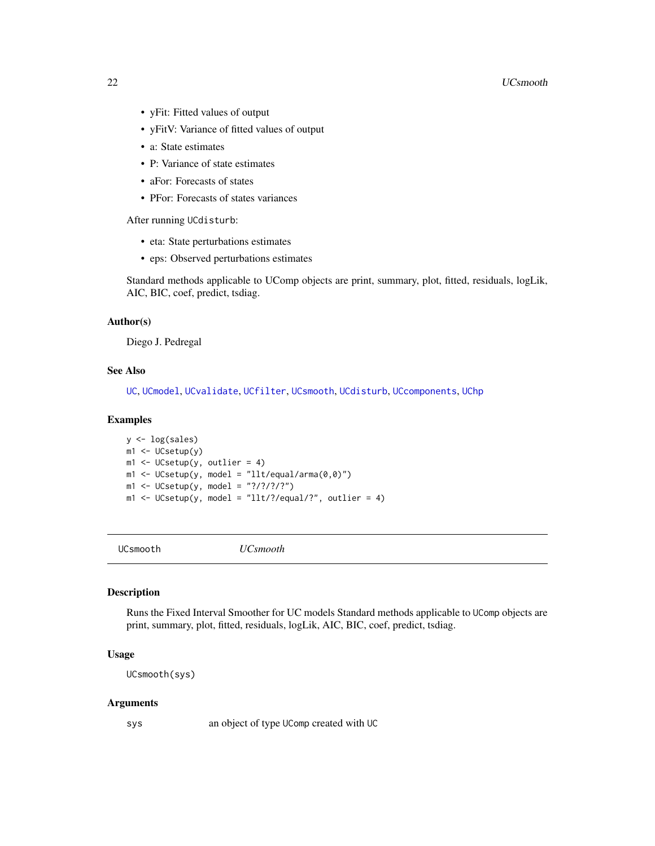#### <span id="page-21-0"></span>22 December 2020 and the contract of the contract of the contract of the contract of the contract of the contract of the contract of the contract of the contract of the contract of the contract of the contract of the contr

- yFit: Fitted values of output
- yFitV: Variance of fitted values of output
- a: State estimates
- P: Variance of state estimates
- aFor: Forecasts of states
- PFor: Forecasts of states variances

After running UCdisturb:

- eta: State perturbations estimates
- eps: Observed perturbations estimates

Standard methods applicable to UComp objects are print, summary, plot, fitted, residuals, logLik, AIC, BIC, coef, predict, tsdiag.

#### Author(s)

Diego J. Pedregal

# See Also

[UC](#page-8-1), [UCmodel](#page-15-1), [UCvalidate](#page-22-1), [UCfilter](#page-13-1), [UCsmooth](#page-21-1), [UCdisturb](#page-11-1), [UCcomponents](#page-10-1), [UChp](#page-14-1)

#### Examples

```
y <- log(sales)
m1 <- UCsetup(y)
m1 <- UCsetup(y, outlier = 4)
m1 <- UCsetup(y, model = "llt/equal/arma(0,0)")
m1 <- UCsetup(y, model = "?/?/?/?")
m1 <- UCsetup(y, model = "llt!/?/equal?", outlier = 4)
```
<span id="page-21-1"></span>

UCsmooth *UCsmooth*

#### Description

Runs the Fixed Interval Smoother for UC models Standard methods applicable to UComp objects are print, summary, plot, fitted, residuals, logLik, AIC, BIC, coef, predict, tsdiag.

#### Usage

UCsmooth(sys)

#### Arguments

sys an object of type UComp created with UC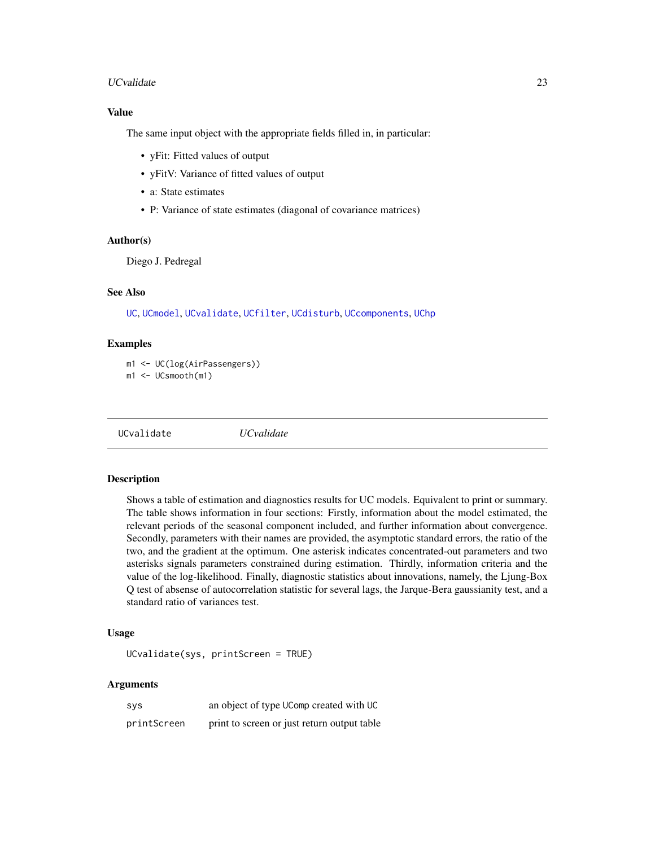#### <span id="page-22-0"></span>UCvalidate 23

### Value

The same input object with the appropriate fields filled in, in particular:

- yFit: Fitted values of output
- yFitV: Variance of fitted values of output
- a: State estimates
- P: Variance of state estimates (diagonal of covariance matrices)

# Author(s)

Diego J. Pedregal

#### See Also

[UC](#page-8-1), [UCmodel](#page-15-1), [UCvalidate](#page-22-1), [UCfilter](#page-13-1), [UCdisturb](#page-11-1), [UCcomponents](#page-10-1), [UChp](#page-14-1)

#### Examples

m1 <- UC(log(AirPassengers)) m1 <- UCsmooth(m1)

<span id="page-22-1"></span>UCvalidate *UCvalidate*

# Description

Shows a table of estimation and diagnostics results for UC models. Equivalent to print or summary. The table shows information in four sections: Firstly, information about the model estimated, the relevant periods of the seasonal component included, and further information about convergence. Secondly, parameters with their names are provided, the asymptotic standard errors, the ratio of the two, and the gradient at the optimum. One asterisk indicates concentrated-out parameters and two asterisks signals parameters constrained during estimation. Thirdly, information criteria and the value of the log-likelihood. Finally, diagnostic statistics about innovations, namely, the Ljung-Box Q test of absense of autocorrelation statistic for several lags, the Jarque-Bera gaussianity test, and a standard ratio of variances test.

#### Usage

UCvalidate(sys, printScreen = TRUE)

#### Arguments

| <b>SVS</b>  | an object of type UComp created with UC     |
|-------------|---------------------------------------------|
| printScreen | print to screen or just return output table |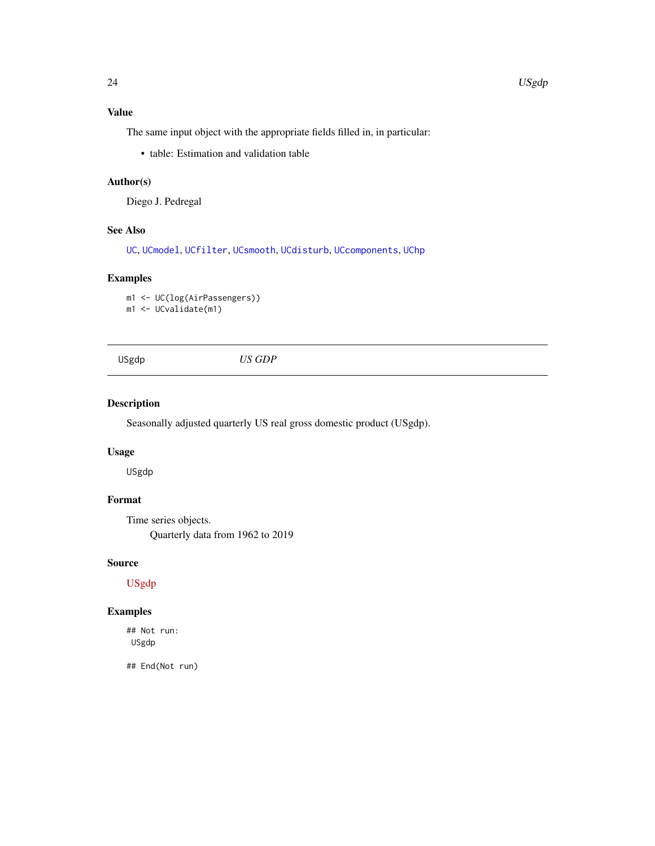# <span id="page-23-0"></span>Value

The same input object with the appropriate fields filled in, in particular:

• table: Estimation and validation table

# Author(s)

Diego J. Pedregal

# See Also

[UC](#page-8-1), [UCmodel](#page-15-1), [UCfilter](#page-13-1), [UCsmooth](#page-21-1), [UCdisturb](#page-11-1), [UCcomponents](#page-10-1), [UChp](#page-14-1)

# Examples

m1 <- UC(log(AirPassengers)) m1 <- UCvalidate(m1)

USgdp *US GDP*

# Description

Seasonally adjusted quarterly US real gross domestic product (USgdp).

# Usage

USgdp

# Format

Time series objects. Quarterly data from 1962 to 2019

# Source

[USgdp](https://www.nber.org/)

# Examples

## Not run: USgdp

## End(Not run)